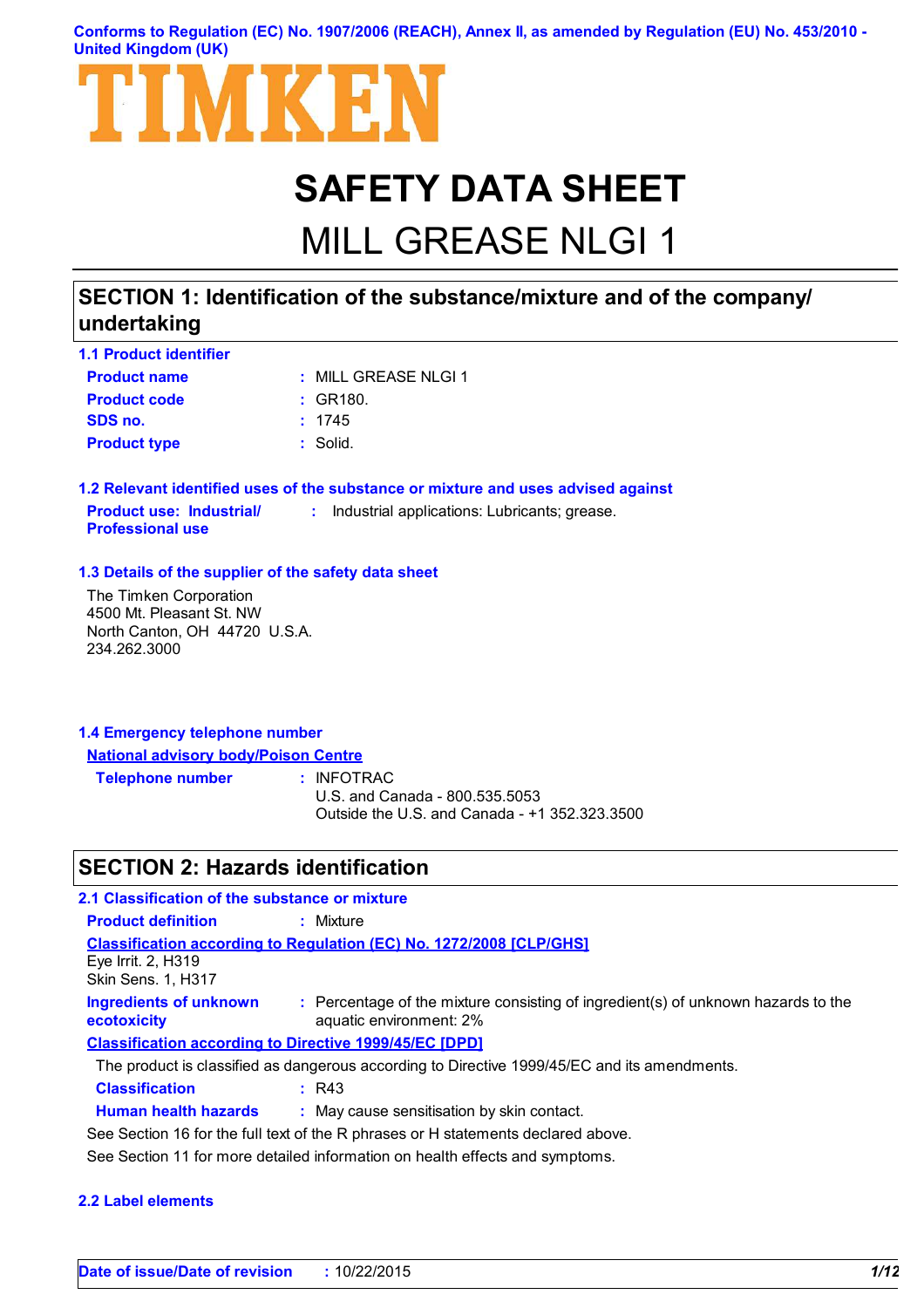### **Conforms to Regulation (EC) No. 1907/2006 (REACH), Annex II, as amended by Regulation (EU) No. 453/2010 - United Kingdom (UK)**



# **SAFETY DATA SHEET**

# MILL GREASE NLGI 1

## **SECTION 1: Identification of the substance/mixture and of the company/ undertaking**

| <b>1.1 Product identifier</b> |                         |
|-------------------------------|-------------------------|
| <b>Product name</b>           | $\pm$ MILL GREASE NLGL1 |
| <b>Product code</b>           | : GR180.                |
| SDS no.                       | : 1745                  |
| <b>Product type</b>           | : Solid.                |

**1.2 Relevant identified uses of the substance or mixture and uses advised against Product use: Industrial/ Professional use :** Industrial applications: Lubricants; grease.

### **1.3 Details of the supplier of the safety data sheet**

The Timken Corporation 4500 Mt. Pleasant St. NW North Canton, OH 44720 U.S.A. 234.262.3000

| 1.4 Emergency telephone number              |  |
|---------------------------------------------|--|
| <b>National advisory body/Poison Centre</b> |  |

**Telephone number :**

: INFOTRAC

U.S. and Canada - 800.535.5053 Outside the U.S. and Canada - +1 352.323.3500

## **SECTION 2: Hazards identification**

| 2.1 Classification of the substance or mixture                               |                                                                                                              |  |
|------------------------------------------------------------------------------|--------------------------------------------------------------------------------------------------------------|--|
| <b>Product definition</b>                                                    | : Mixture                                                                                                    |  |
| Eye Irrit. 2, H319<br><b>Skin Sens. 1, H317</b>                              | Classification according to Regulation (EC) No. 1272/2008 [CLP/GHS]                                          |  |
| <b>Ingredients of unknown</b><br>ecotoxicity                                 | : Percentage of the mixture consisting of ingredient(s) of unknown hazards to the<br>aquatic environment: 2% |  |
|                                                                              | <b>Classification according to Directive 1999/45/EC [DPD]</b>                                                |  |
|                                                                              | The product is classified as dangerous according to Directive 1999/45/EC and its amendments.                 |  |
| <b>Classification</b>                                                        | R43                                                                                                          |  |
| <b>Human health hazards</b>                                                  | : May cause sensitisation by skin contact.                                                                   |  |
|                                                                              | See Section 16 for the full text of the R phrases or H statements declared above.                            |  |
| See Section 11 for more detailed information on health effects and symptoms. |                                                                                                              |  |

### **2.2 Label elements**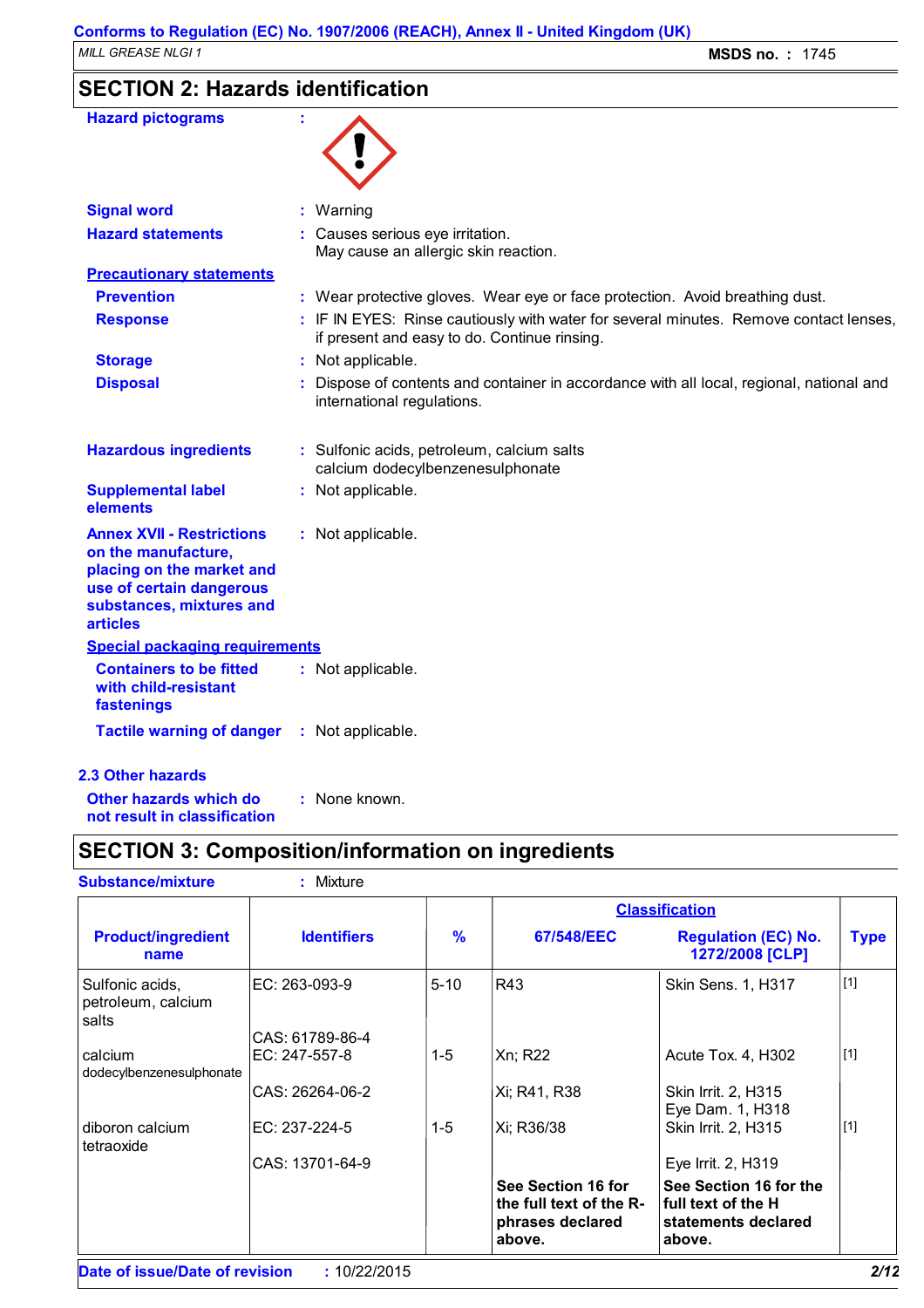## **SECTION 2: Hazards identification**

| <b>Hazard pictograms</b>                                                                                                                                        |                                                                                                                                       |
|-----------------------------------------------------------------------------------------------------------------------------------------------------------------|---------------------------------------------------------------------------------------------------------------------------------------|
| <b>Signal word</b>                                                                                                                                              | : Warning                                                                                                                             |
| <b>Hazard statements</b>                                                                                                                                        | : Causes serious eye irritation.<br>May cause an allergic skin reaction.                                                              |
| <b>Precautionary statements</b>                                                                                                                                 |                                                                                                                                       |
| <b>Prevention</b>                                                                                                                                               | : Wear protective gloves. Wear eye or face protection. Avoid breathing dust.                                                          |
| <b>Response</b>                                                                                                                                                 | : IF IN EYES: Rinse cautiously with water for several minutes. Remove contact lenses,<br>if present and easy to do. Continue rinsing. |
| <b>Storage</b>                                                                                                                                                  | : Not applicable.                                                                                                                     |
| <b>Disposal</b>                                                                                                                                                 | Dispose of contents and container in accordance with all local, regional, national and<br>international regulations.                  |
| <b>Hazardous ingredients</b>                                                                                                                                    | : Sulfonic acids, petroleum, calcium salts<br>calcium dodecylbenzenesulphonate                                                        |
| <b>Supplemental label</b><br>elements                                                                                                                           | : Not applicable.                                                                                                                     |
| <b>Annex XVII - Restrictions</b><br>on the manufacture,<br>placing on the market and<br>use of certain dangerous<br>substances, mixtures and<br><b>articles</b> | : Not applicable.                                                                                                                     |
| <b>Special packaging requirements</b>                                                                                                                           |                                                                                                                                       |
| <b>Containers to be fitted</b><br>with child-resistant<br>fastenings                                                                                            | : Not applicable.                                                                                                                     |
| <b>Tactile warning of danger</b>                                                                                                                                | : Not applicable.                                                                                                                     |
| <b>2.3 Other hazards</b>                                                                                                                                        |                                                                                                                                       |
| Other hazards which do                                                                                                                                          | : None known.                                                                                                                         |

**not result in classification**

## **SECTION 3: Composition/information on ingredients**

| : Mixture          |               |                                                                             |                                                                               |                                           |
|--------------------|---------------|-----------------------------------------------------------------------------|-------------------------------------------------------------------------------|-------------------------------------------|
|                    |               |                                                                             |                                                                               |                                           |
| <b>Identifiers</b> | $\frac{9}{6}$ | 67/548/EEC                                                                  | <b>Regulation (EC) No.</b><br>1272/2008 [CLP]                                 | <b>Type</b>                               |
| EC: 263-093-9      | $5 - 10$      | R43                                                                         | Skin Sens. 1, H317                                                            | [1]                                       |
| CAS: 61789-86-4    |               |                                                                             |                                                                               |                                           |
| EC: 247-557-8      | $1 - 5$       | Xn; R22                                                                     | Acute Tox. 4, H302                                                            | $[1]$                                     |
| CAS: 26264-06-2    |               | Xi; R41, R38                                                                | Skin Irrit. 2, H315                                                           |                                           |
| EC: 237-224-5      | $1-5$         | Xi; R36/38                                                                  | Skin Irrit. 2, H315                                                           | $[1]$                                     |
| CAS: 13701-64-9    |               |                                                                             | Eye Irrit. 2, H319                                                            |                                           |
|                    |               | See Section 16 for<br>the full text of the R-<br>phrases declared<br>above. | See Section 16 for the<br>full text of the H<br>statements declared<br>above. |                                           |
|                    |               |                                                                             |                                                                               | <b>Classification</b><br>Eye Dam. 1, H318 |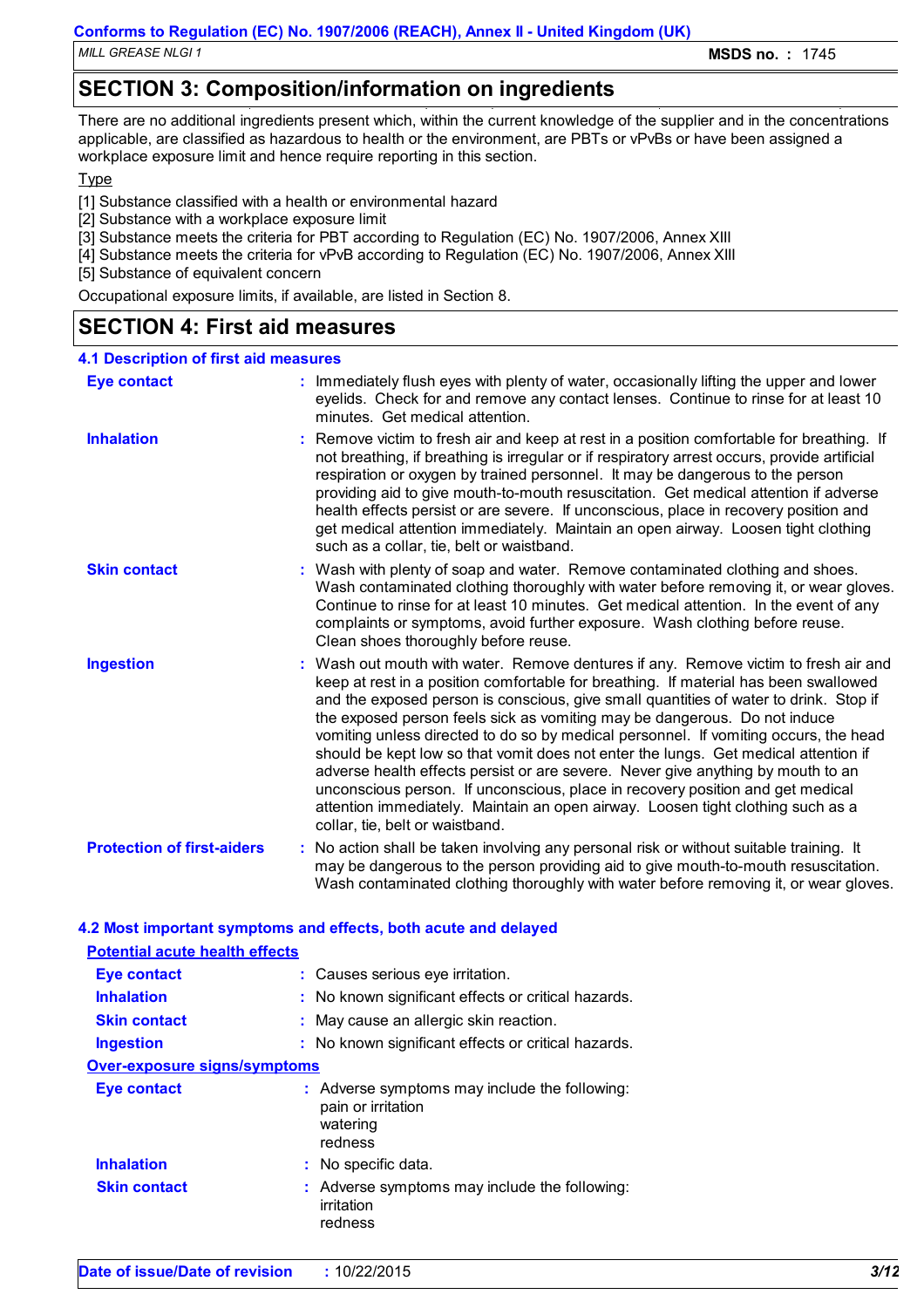*MILL GREASE NLGI 1* **MSDS no. :** 1745

## **SECTION 3: Composition/information on ingredients**

There are no additional ingredients present which, within the current knowledge of the supplier and in the concentrations applicable, are classified as hazardous to health or the environment, are PBTs or vPvBs or have been assigned a workplace exposure limit and hence require reporting in this section.

Type

- [1] Substance classified with a health or environmental hazard
- [2] Substance with a workplace exposure limit
- [3] Substance meets the criteria for PBT according to Regulation (EC) No. 1907/2006, Annex XIII
- [4] Substance meets the criteria for vPvB according to Regulation (EC) No. 1907/2006, Annex XIII

[5] Substance of equivalent concern

Occupational exposure limits, if available, are listed in Section 8.

### **SECTION 4: First aid measures**

| <b>4.1 Description of first aid measures</b> |                                                                                                                                                                                                                                                                                                                                                                                                                                                                                                                                                                                                                                                                                                                                                                                                                              |
|----------------------------------------------|------------------------------------------------------------------------------------------------------------------------------------------------------------------------------------------------------------------------------------------------------------------------------------------------------------------------------------------------------------------------------------------------------------------------------------------------------------------------------------------------------------------------------------------------------------------------------------------------------------------------------------------------------------------------------------------------------------------------------------------------------------------------------------------------------------------------------|
| <b>Eye contact</b>                           | : Immediately flush eyes with plenty of water, occasionally lifting the upper and lower<br>eyelids. Check for and remove any contact lenses. Continue to rinse for at least 10<br>minutes. Get medical attention.                                                                                                                                                                                                                                                                                                                                                                                                                                                                                                                                                                                                            |
| <b>Inhalation</b>                            | : Remove victim to fresh air and keep at rest in a position comfortable for breathing. If<br>not breathing, if breathing is irregular or if respiratory arrest occurs, provide artificial<br>respiration or oxygen by trained personnel. It may be dangerous to the person<br>providing aid to give mouth-to-mouth resuscitation. Get medical attention if adverse<br>health effects persist or are severe. If unconscious, place in recovery position and<br>get medical attention immediately. Maintain an open airway. Loosen tight clothing<br>such as a collar, tie, belt or waistband.                                                                                                                                                                                                                                 |
| <b>Skin contact</b>                          | : Wash with plenty of soap and water. Remove contaminated clothing and shoes.<br>Wash contaminated clothing thoroughly with water before removing it, or wear gloves.<br>Continue to rinse for at least 10 minutes. Get medical attention. In the event of any<br>complaints or symptoms, avoid further exposure. Wash clothing before reuse.<br>Clean shoes thoroughly before reuse.                                                                                                                                                                                                                                                                                                                                                                                                                                        |
| <b>Ingestion</b>                             | : Wash out mouth with water. Remove dentures if any. Remove victim to fresh air and<br>keep at rest in a position comfortable for breathing. If material has been swallowed<br>and the exposed person is conscious, give small quantities of water to drink. Stop if<br>the exposed person feels sick as vomiting may be dangerous. Do not induce<br>vomiting unless directed to do so by medical personnel. If vomiting occurs, the head<br>should be kept low so that vomit does not enter the lungs. Get medical attention if<br>adverse health effects persist or are severe. Never give anything by mouth to an<br>unconscious person. If unconscious, place in recovery position and get medical<br>attention immediately. Maintain an open airway. Loosen tight clothing such as a<br>collar, tie, belt or waistband. |
| <b>Protection of first-aiders</b>            | : No action shall be taken involving any personal risk or without suitable training. It<br>may be dangerous to the person providing aid to give mouth-to-mouth resuscitation.<br>Wash contaminated clothing thoroughly with water before removing it, or wear gloves.                                                                                                                                                                                                                                                                                                                                                                                                                                                                                                                                                        |

| <b>Potential acute health effects</b> |                                                                                            |
|---------------------------------------|--------------------------------------------------------------------------------------------|
| <b>Eye contact</b>                    | : Causes serious eye irritation.                                                           |
| <b>Inhalation</b>                     | : No known significant effects or critical hazards.                                        |
| <b>Skin contact</b>                   | : May cause an allergic skin reaction.                                                     |
| <b>Ingestion</b>                      | : No known significant effects or critical hazards.                                        |
| <b>Over-exposure signs/symptoms</b>   |                                                                                            |
| <b>Eye contact</b>                    | : Adverse symptoms may include the following:<br>pain or irritation<br>watering<br>redness |
| <b>Inhalation</b>                     | : No specific data.                                                                        |
| <b>Skin contact</b>                   | : Adverse symptoms may include the following:<br>irritation<br>redness                     |

**4.2 Most important symptoms and effects, both acute and delayed**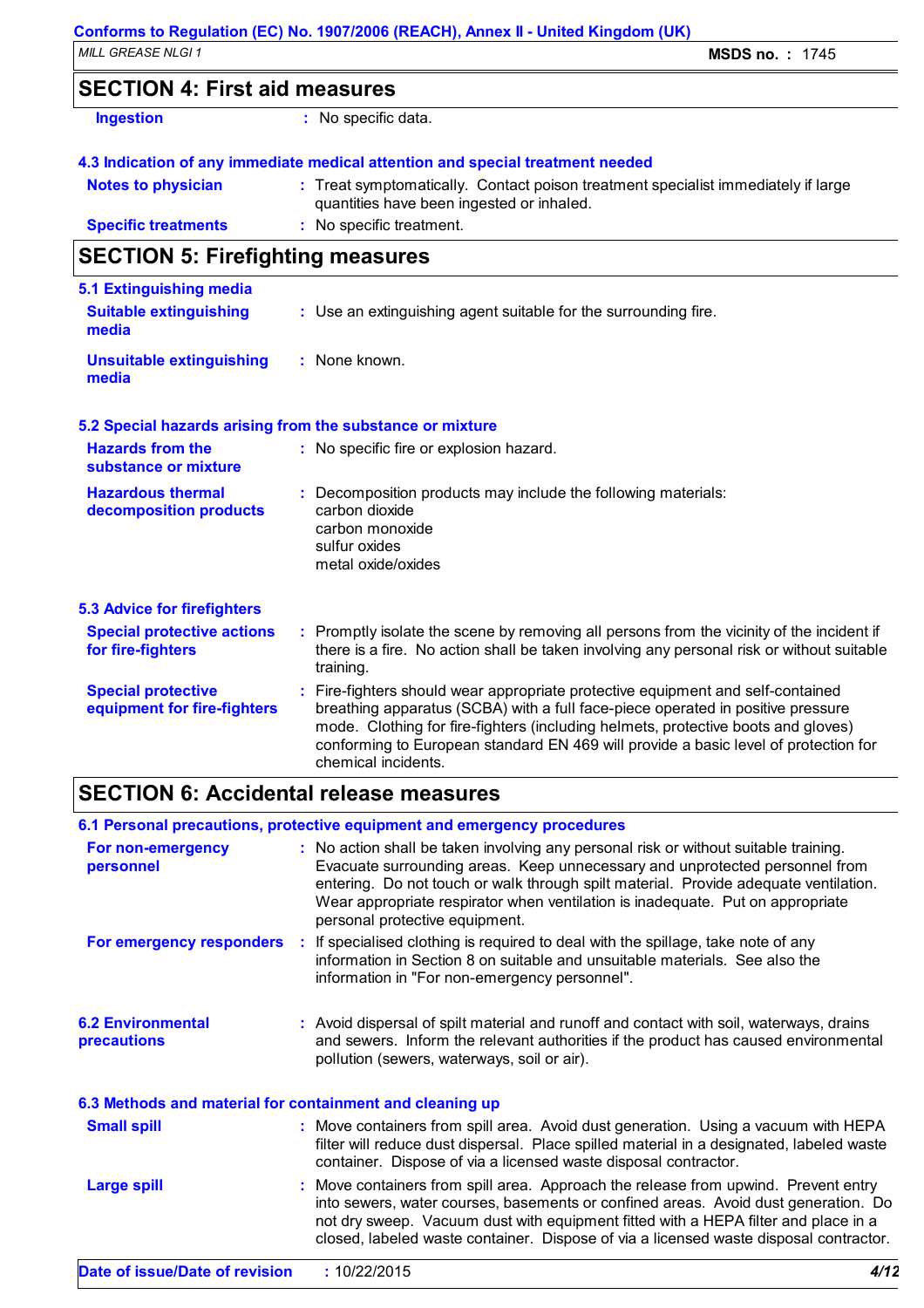### **SECTION 4: First aid measures**

| Ingestion |  |  |  |
|-----------|--|--|--|
|           |  |  |  |

**:** No specific data.

### **4.3 Indication of any immediate medical attention and special treatment needed**

| <b>Notes to physician</b>  | : Treat symptomatically. Contact poison treatment specialist immediately if large |
|----------------------------|-----------------------------------------------------------------------------------|
|                            | quantities have been ingested or inhaled.                                         |
| <b>Specific treatments</b> | : No specific treatment.                                                          |

## **SECTION 5: Firefighting measures**

| 5.1 Extinguishing media                                   |                                                                                                                                                                                                                                                                                                                                                                     |  |
|-----------------------------------------------------------|---------------------------------------------------------------------------------------------------------------------------------------------------------------------------------------------------------------------------------------------------------------------------------------------------------------------------------------------------------------------|--|
| <b>Suitable extinguishing</b><br>media                    | : Use an extinguishing agent suitable for the surrounding fire.                                                                                                                                                                                                                                                                                                     |  |
| <b>Unsuitable extinguishing</b><br>media                  | : None known.                                                                                                                                                                                                                                                                                                                                                       |  |
| 5.2 Special hazards arising from the substance or mixture |                                                                                                                                                                                                                                                                                                                                                                     |  |
| <b>Hazards from the</b><br>substance or mixture           | : No specific fire or explosion hazard.                                                                                                                                                                                                                                                                                                                             |  |
| <b>Hazardous thermal</b><br>decomposition products        | Decomposition products may include the following materials:<br>carbon dioxide<br>carbon monoxide<br>sulfur oxides<br>metal oxide/oxides                                                                                                                                                                                                                             |  |
| <b>5.3 Advice for firefighters</b>                        |                                                                                                                                                                                                                                                                                                                                                                     |  |
| <b>Special protective actions</b><br>for fire-fighters    | : Promptly isolate the scene by removing all persons from the vicinity of the incident if<br>there is a fire. No action shall be taken involving any personal risk or without suitable<br>training.                                                                                                                                                                 |  |
| <b>Special protective</b><br>equipment for fire-fighters  | Fire-fighters should wear appropriate protective equipment and self-contained<br>breathing apparatus (SCBA) with a full face-piece operated in positive pressure<br>mode. Clothing for fire-fighters (including helmets, protective boots and gloves)<br>conforming to European standard EN 469 will provide a basic level of protection for<br>chemical incidents. |  |

## **SECTION 6: Accidental release measures**

|                                                          | 6.1 Personal precautions, protective equipment and emergency procedures                                                                                                                                                                                                                                                                                                         |
|----------------------------------------------------------|---------------------------------------------------------------------------------------------------------------------------------------------------------------------------------------------------------------------------------------------------------------------------------------------------------------------------------------------------------------------------------|
| For non-emergency<br>personnel                           | : No action shall be taken involving any personal risk or without suitable training.<br>Evacuate surrounding areas. Keep unnecessary and unprotected personnel from<br>entering. Do not touch or walk through spilt material. Provide adequate ventilation.<br>Wear appropriate respirator when ventilation is inadequate. Put on appropriate<br>personal protective equipment. |
| For emergency responders                                 | : If specialised clothing is required to deal with the spillage, take note of any<br>information in Section 8 on suitable and unsuitable materials. See also the<br>information in "For non-emergency personnel".                                                                                                                                                               |
| <b>6.2 Environmental</b><br><b>precautions</b>           | : Avoid dispersal of spilt material and runoff and contact with soil, waterways, drains<br>and sewers. Inform the relevant authorities if the product has caused environmental<br>pollution (sewers, waterways, soil or air).                                                                                                                                                   |
| 6.3 Methods and material for containment and cleaning up |                                                                                                                                                                                                                                                                                                                                                                                 |
| <b>Small spill</b>                                       | : Move containers from spill area. Avoid dust generation. Using a vacuum with HEPA<br>filter will reduce dust dispersal. Place spilled material in a designated, labeled waste<br>container. Dispose of via a licensed waste disposal contractor.                                                                                                                               |
| <b>Large spill</b>                                       | : Move containers from spill area. Approach the release from upwind. Prevent entry<br>into sewers, water courses, basements or confined areas. Avoid dust generation. Do<br>not dry sweep. Vacuum dust with equipment fitted with a HEPA filter and place in a<br>closed, labeled waste container. Dispose of via a licensed waste disposal contractor.                         |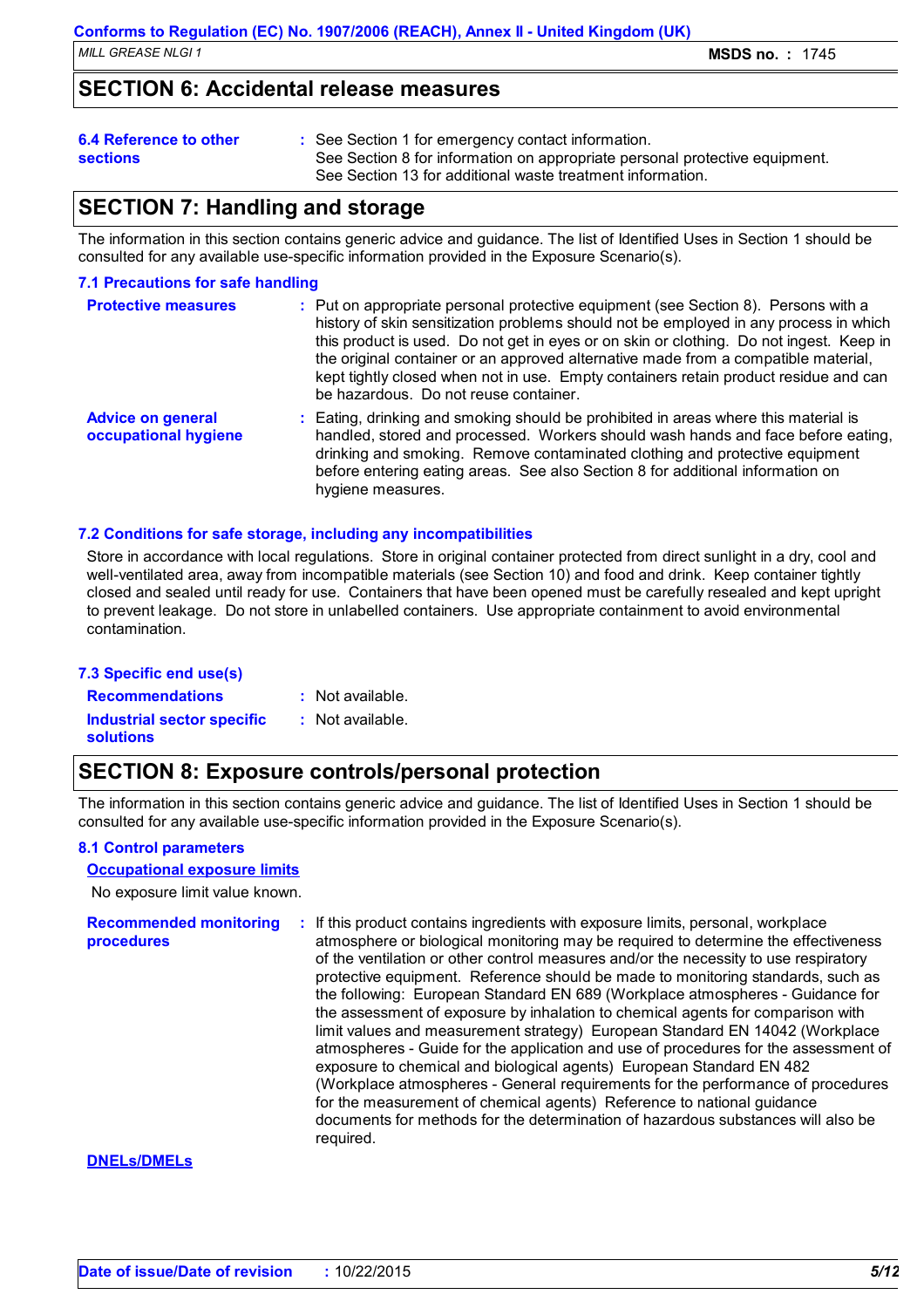### **SECTION 6: Accidental release measures**

### **6.4 Reference to other**

**sections**

- See Section 1 for emergency contact information. **:**
- See Section 8 for information on appropriate personal protective equipment.
	- See Section 13 for additional waste treatment information.

## **SECTION 7: Handling and storage**

The information in this section contains generic advice and guidance. The list of Identified Uses in Section 1 should be consulted for any available use-specific information provided in the Exposure Scenario(s).

### **7.1 Precautions for safe handling**

| <b>Protective measures</b>                       | : Put on appropriate personal protective equipment (see Section 8). Persons with a<br>history of skin sensitization problems should not be employed in any process in which<br>this product is used. Do not get in eyes or on skin or clothing. Do not ingest. Keep in<br>the original container or an approved alternative made from a compatible material,<br>kept tightly closed when not in use. Empty containers retain product residue and can<br>be hazardous. Do not reuse container. |
|--------------------------------------------------|-----------------------------------------------------------------------------------------------------------------------------------------------------------------------------------------------------------------------------------------------------------------------------------------------------------------------------------------------------------------------------------------------------------------------------------------------------------------------------------------------|
| <b>Advice on general</b><br>occupational hygiene | : Eating, drinking and smoking should be prohibited in areas where this material is<br>handled, stored and processed. Workers should wash hands and face before eating,<br>drinking and smoking. Remove contaminated clothing and protective equipment<br>before entering eating areas. See also Section 8 for additional information on<br>hygiene measures.                                                                                                                                 |

### **7.2 Conditions for safe storage, including any incompatibilities**

Store in accordance with local regulations. Store in original container protected from direct sunlight in a dry, cool and well-ventilated area, away from incompatible materials (see Section 10) and food and drink. Keep container tightly closed and sealed until ready for use. Containers that have been opened must be carefully resealed and kept upright to prevent leakage. Do not store in unlabelled containers. Use appropriate containment to avoid environmental contamination.

### **7.3 Specific end use(s)**

**Recommendations : Industrial sector specific : solutions**

- : Not available.
- : Not available.

## **SECTION 8: Exposure controls/personal protection**

The information in this section contains generic advice and guidance. The list of Identified Uses in Section 1 should be consulted for any available use-specific information provided in the Exposure Scenario(s).

### **8.1 Control parameters**

#### **Occupational exposure limits**

No exposure limit value known.

**Recommended monitoring procedures :** If this product contains ingredients with exposure limits, personal, workplace atmosphere or biological monitoring may be required to determine the effectiveness of the ventilation or other control measures and/or the necessity to use respiratory protective equipment. Reference should be made to monitoring standards, such as the following: European Standard EN 689 (Workplace atmospheres - Guidance for the assessment of exposure by inhalation to chemical agents for comparison with limit values and measurement strategy) European Standard EN 14042 (Workplace atmospheres - Guide for the application and use of procedures for the assessment of exposure to chemical and biological agents) European Standard EN 482 (Workplace atmospheres - General requirements for the performance of procedures for the measurement of chemical agents) Reference to national guidance documents for methods for the determination of hazardous substances will also be required.

### **DNELs/DMELs**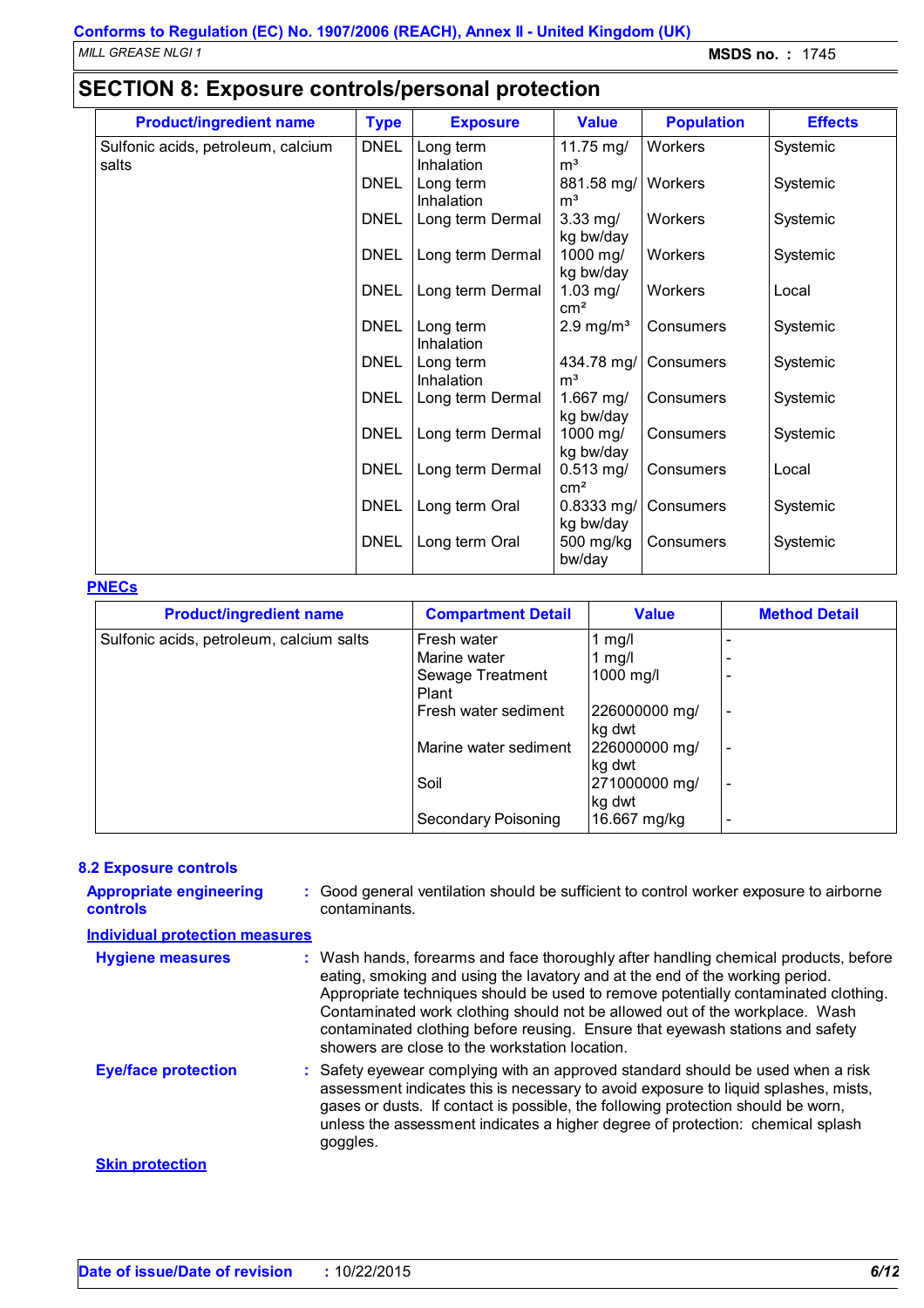*MILL GREASE NLGI 1* **MSDS no. :** 1745

## **SECTION 8: Exposure controls/personal protection**

| <b>Product/ingredient name</b>     | <b>Type</b> | <b>Exposure</b>                | <b>Value</b>                 | <b>Population</b> | <b>Effects</b> |
|------------------------------------|-------------|--------------------------------|------------------------------|-------------------|----------------|
| Sulfonic acids, petroleum, calcium | <b>DNEL</b> | Long term                      | 11.75 mg/                    | Workers           | Systemic       |
| salts                              |             | Inhalation                     | m <sup>3</sup>               |                   |                |
|                                    | <b>DNEL</b> | Long term                      | 881.58 mg/                   | Workers           | Systemic       |
|                                    | <b>DNEL</b> | Inhalation<br>Long term Dermal | m <sup>3</sup><br>$3.33$ mg/ | Workers           | Systemic       |
|                                    |             |                                | kg bw/day                    |                   |                |
|                                    | <b>DNEL</b> | Long term Dermal               | 1000 mg/                     | Workers           | Systemic       |
|                                    |             |                                | kg bw/day                    |                   |                |
|                                    | <b>DNEL</b> | Long term Dermal               | $1.03$ mg/<br>$\text{cm}^2$  | Workers           | Local          |
|                                    | <b>DNEL</b> | Long term                      | $2.9 \text{ mg/m}^3$         | Consumers         | Systemic       |
|                                    |             | Inhalation                     |                              |                   |                |
|                                    | <b>DNEL</b> | Long term                      | 434.78 mg/                   | Consumers         | Systemic       |
|                                    | <b>DNEL</b> | Inhalation<br>Long term Dermal | m <sup>3</sup><br>1.667 mg/  | Consumers         | Systemic       |
|                                    |             |                                | kg bw/day                    |                   |                |
|                                    | <b>DNEL</b> | Long term Dermal               | 1000 mg/                     | Consumers         | Systemic       |
|                                    |             |                                | kg bw/day                    |                   |                |
|                                    | <b>DNEL</b> | Long term Dermal               | $0.513$ mg/                  | Consumers         | Local          |
|                                    |             |                                | $\text{cm}^2$                |                   |                |
|                                    | <b>DNEL</b> | Long term Oral                 | $0.8333$ mg/<br>kg bw/day    | Consumers         | Systemic       |
|                                    | <b>DNEL</b> | Long term Oral                 | 500 mg/kg<br>bw/day          | Consumers         | Systemic       |

### **PNECs**

| <b>Product/ingredient name</b>           | <b>Compartment Detail</b>  | <b>Value</b>  | <b>Method Detail</b>     |
|------------------------------------------|----------------------------|---------------|--------------------------|
| Sulfonic acids, petroleum, calcium salts | Fresh water                | 1 $mg/l$      |                          |
|                                          | Marine water               | 1 $mg/l$      |                          |
|                                          | Sewage Treatment           | 1000 mg/l     |                          |
|                                          | Plant                      |               |                          |
|                                          | Fresh water sediment       | 226000000 mg/ | $\overline{\phantom{a}}$ |
|                                          |                            | kg dwt        |                          |
|                                          | Marine water sediment      | 226000000 mg/ |                          |
|                                          |                            | kg dwt        |                          |
|                                          | Soil                       | 271000000 mg/ | $\overline{\phantom{a}}$ |
|                                          |                            | kg dwt        |                          |
|                                          | <b>Secondary Poisoning</b> | 16.667 mg/kg  |                          |

### **8.2 Exposure controls**

| <b>Appropriate engineering</b><br><b>controls</b> | : Good general ventilation should be sufficient to control worker exposure to airborne<br>contaminants.                                                                                                                                                                                                                                                                                                                                                                     |
|---------------------------------------------------|-----------------------------------------------------------------------------------------------------------------------------------------------------------------------------------------------------------------------------------------------------------------------------------------------------------------------------------------------------------------------------------------------------------------------------------------------------------------------------|
| <b>Individual protection measures</b>             |                                                                                                                                                                                                                                                                                                                                                                                                                                                                             |
| <b>Hygiene measures</b>                           | : Wash hands, forearms and face thoroughly after handling chemical products, before<br>eating, smoking and using the lavatory and at the end of the working period.<br>Appropriate techniques should be used to remove potentially contaminated clothing.<br>Contaminated work clothing should not be allowed out of the workplace. Wash<br>contaminated clothing before reusing. Ensure that eyewash stations and safety<br>showers are close to the workstation location. |
| <b>Eye/face protection</b>                        | : Safety eyewear complying with an approved standard should be used when a risk<br>assessment indicates this is necessary to avoid exposure to liquid splashes, mists,<br>gases or dusts. If contact is possible, the following protection should be worn,<br>unless the assessment indicates a higher degree of protection: chemical splash<br>goggles.                                                                                                                    |
| <b>Skin protection</b>                            |                                                                                                                                                                                                                                                                                                                                                                                                                                                                             |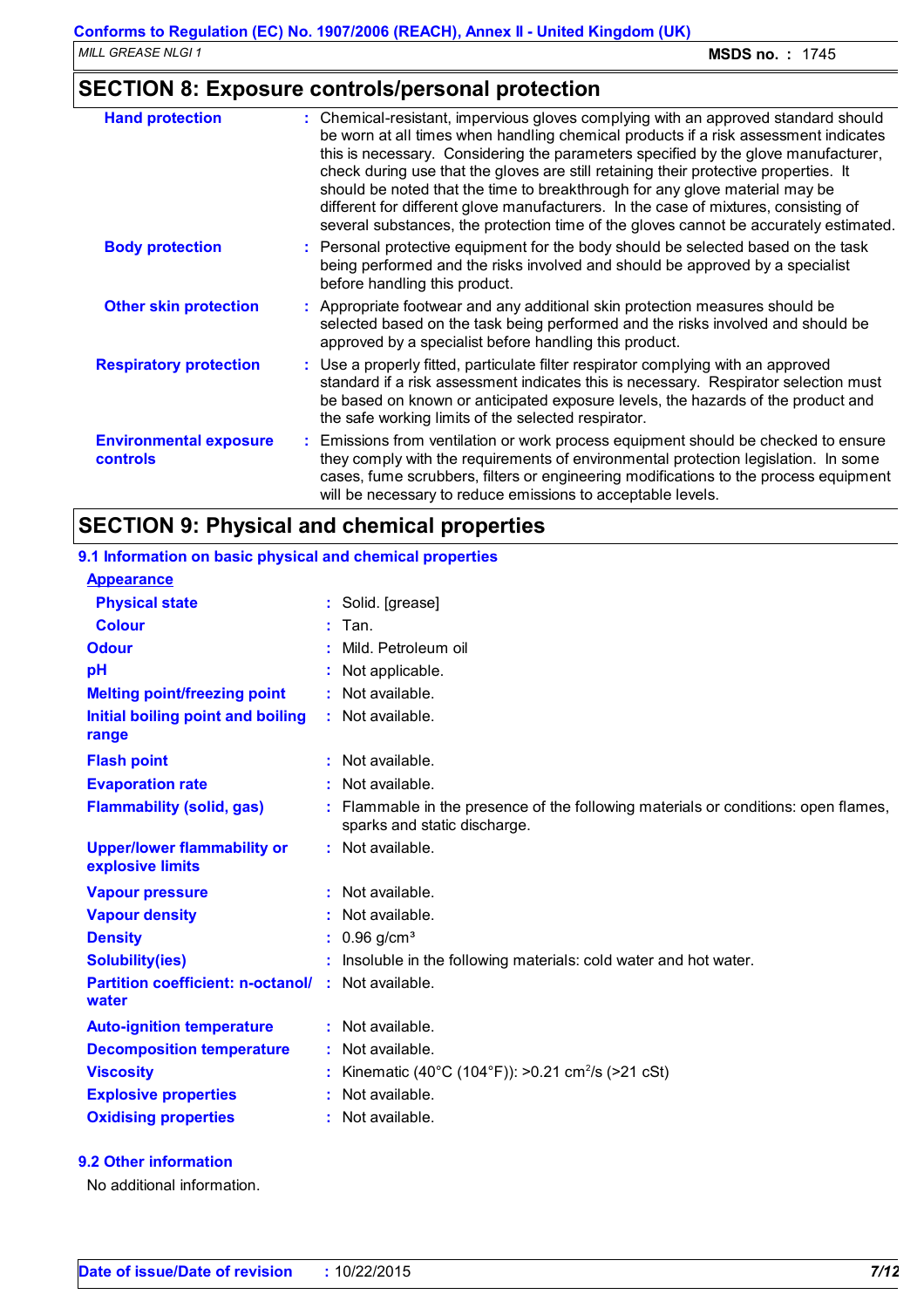## **SECTION 8: Exposure controls/personal protection**

| <b>Hand protection</b>                           | : Chemical-resistant, impervious gloves complying with an approved standard should<br>be worn at all times when handling chemical products if a risk assessment indicates<br>this is necessary. Considering the parameters specified by the glove manufacturer,<br>check during use that the gloves are still retaining their protective properties. It<br>should be noted that the time to breakthrough for any glove material may be<br>different for different glove manufacturers. In the case of mixtures, consisting of<br>several substances, the protection time of the gloves cannot be accurately estimated. |
|--------------------------------------------------|------------------------------------------------------------------------------------------------------------------------------------------------------------------------------------------------------------------------------------------------------------------------------------------------------------------------------------------------------------------------------------------------------------------------------------------------------------------------------------------------------------------------------------------------------------------------------------------------------------------------|
| <b>Body protection</b>                           | : Personal protective equipment for the body should be selected based on the task<br>being performed and the risks involved and should be approved by a specialist<br>before handling this product.                                                                                                                                                                                                                                                                                                                                                                                                                    |
| <b>Other skin protection</b>                     | : Appropriate footwear and any additional skin protection measures should be<br>selected based on the task being performed and the risks involved and should be<br>approved by a specialist before handling this product.                                                                                                                                                                                                                                                                                                                                                                                              |
| <b>Respiratory protection</b>                    | : Use a properly fitted, particulate filter respirator complying with an approved<br>standard if a risk assessment indicates this is necessary. Respirator selection must<br>be based on known or anticipated exposure levels, the hazards of the product and<br>the safe working limits of the selected respirator.                                                                                                                                                                                                                                                                                                   |
| <b>Environmental exposure</b><br><b>controls</b> | : Emissions from ventilation or work process equipment should be checked to ensure<br>they comply with the requirements of environmental protection legislation. In some<br>cases, fume scrubbers, filters or engineering modifications to the process equipment<br>will be necessary to reduce emissions to acceptable levels.                                                                                                                                                                                                                                                                                        |

## **SECTION 9: Physical and chemical properties**

| 9.1 Information on basic physical and chemical properties |                                                                                                                    |
|-----------------------------------------------------------|--------------------------------------------------------------------------------------------------------------------|
| <b>Appearance</b>                                         |                                                                                                                    |
| <b>Physical state</b>                                     | : Solid. [grease]                                                                                                  |
| <b>Colour</b>                                             | $:$ Tan.                                                                                                           |
| <b>Odour</b>                                              | Mild. Petroleum oil                                                                                                |
| pH                                                        | Not applicable.                                                                                                    |
| <b>Melting point/freezing point</b>                       | : Not available.                                                                                                   |
| Initial boiling point and boiling<br>range                | : Not available.                                                                                                   |
| <b>Flash point</b>                                        | $:$ Not available.                                                                                                 |
| <b>Evaporation rate</b>                                   | : Not available.                                                                                                   |
| <b>Flammability (solid, gas)</b>                          | : Flammable in the presence of the following materials or conditions: open flames,<br>sparks and static discharge. |
| <b>Upper/lower flammability or</b><br>explosive limits    | $:$ Not available.                                                                                                 |
| <b>Vapour pressure</b>                                    | : Not available.                                                                                                   |
| <b>Vapour density</b>                                     | : Not available.                                                                                                   |
| <b>Density</b>                                            | $: 0.96$ g/cm <sup>3</sup>                                                                                         |
| <b>Solubility(ies)</b>                                    | Insoluble in the following materials: cold water and hot water.                                                    |
| <b>Partition coefficient: n-octanol/</b><br>water         | $:$ Not available.                                                                                                 |
| <b>Auto-ignition temperature</b>                          | : Not available.                                                                                                   |
| <b>Decomposition temperature</b>                          | : Not available.                                                                                                   |
| <b>Viscosity</b>                                          | Kinematic (40°C (104°F)): >0.21 cm <sup>2</sup> /s (>21 cSt)                                                       |
| <b>Explosive properties</b>                               | : Not available.                                                                                                   |
| <b>Oxidising properties</b>                               | : Not available.                                                                                                   |

**9.2 Other information**

No additional information.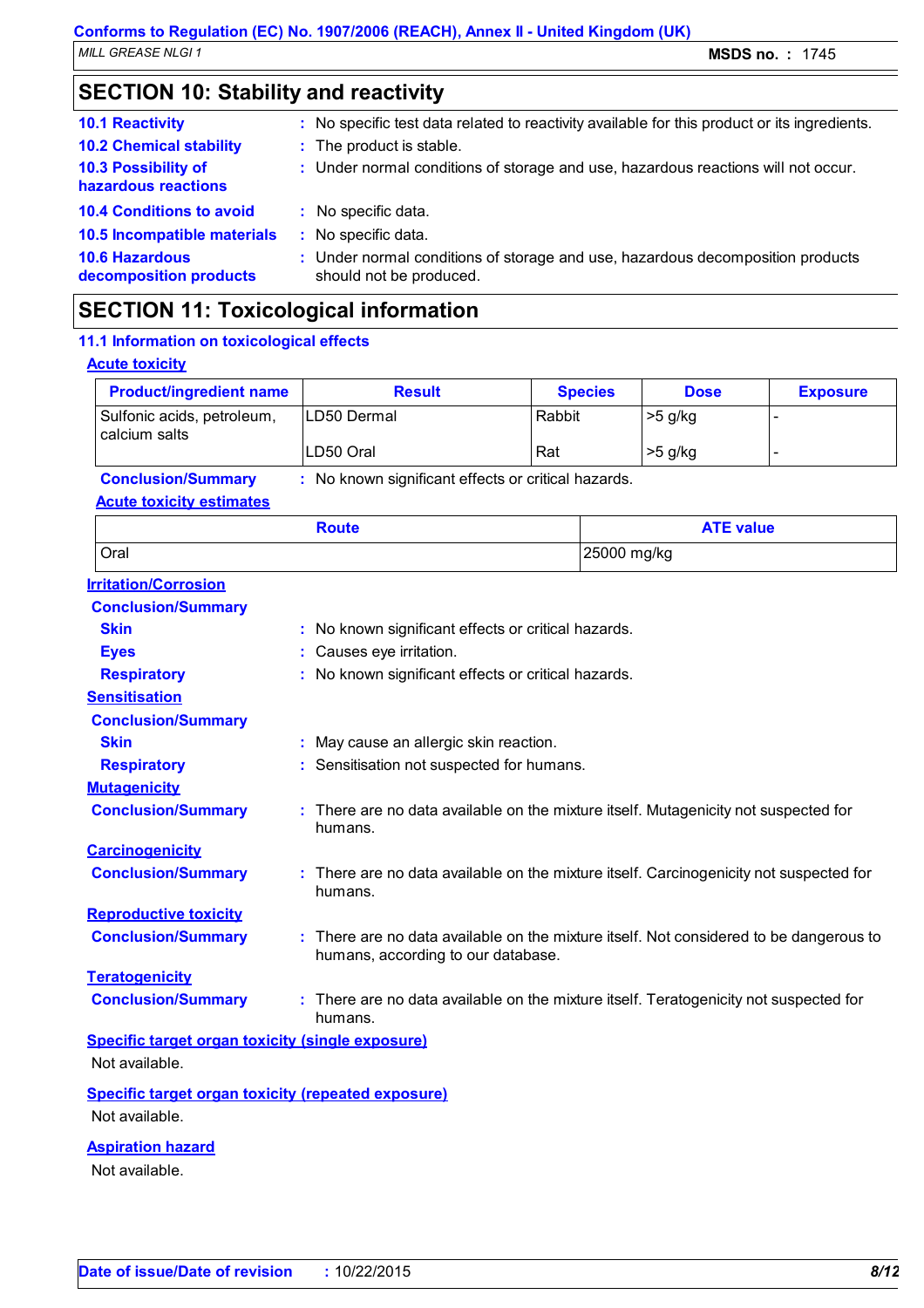## **SECTION 10: Stability and reactivity**

| <b>10.1 Reactivity</b>                          | : No specific test data related to reactivity available for this product or its ingredients.              |
|-------------------------------------------------|-----------------------------------------------------------------------------------------------------------|
| <b>10.2 Chemical stability</b>                  | : The product is stable.                                                                                  |
| 10.3 Possibility of<br>hazardous reactions      | : Under normal conditions of storage and use, hazardous reactions will not occur.                         |
| <b>10.4 Conditions to avoid</b>                 | : No specific data.                                                                                       |
| 10.5 Incompatible materials                     | : No specific data.                                                                                       |
| <b>10.6 Hazardous</b><br>decomposition products | : Under normal conditions of storage and use, hazardous decomposition products<br>should not be produced. |
|                                                 |                                                                                                           |

## **SECTION 11: Toxicological information**

### **Acute toxicity** Sulfonic acids, petroleum, calcium salts LD50 Dermal Rabbit >5 g/kg LD50 Oral  $\vert$  Rat  $\vert$  >5 g/kg **Product/ingredient name Result Result Result Species Dose Exposure Conclusion/Summary :** No known significant effects or critical hazards. **Carcinogenicity Conclusion/Summary :** There are no data available on the mixture itself. Carcinogenicity not suspected for humans. **Mutagenicity Conclusion/Summary :** There are no data available on the mixture itself. Mutagenicity not suspected for humans. **Teratogenicity Conclusion/Summary :** There are no data available on the mixture itself. Teratogenicity not suspected for humans. **Reproductive toxicity Conclusion/Summary :** There are no data available on the mixture itself. Not considered to be dangerous to humans, according to our database. **Irritation/Corrosion Conclusion/Summary Skin :** No known significant effects or critical hazards. **Eyes :** Causes eye irritation. **Respiratory :** No known significant effects or critical hazards. **Sensitisation Conclusion/Summary Skin :** May cause an allergic skin reaction. **Respiratory :** Sensitisation not suspected for humans. **11.1 Information on toxicological effects Acute toxicity estimates** Oral 25000 mg/kg **Route ATE value Specific target organ toxicity (single exposure) Specific target organ toxicity (repeated exposure)** Not available. Not available.

**Aspiration hazard**

Not available.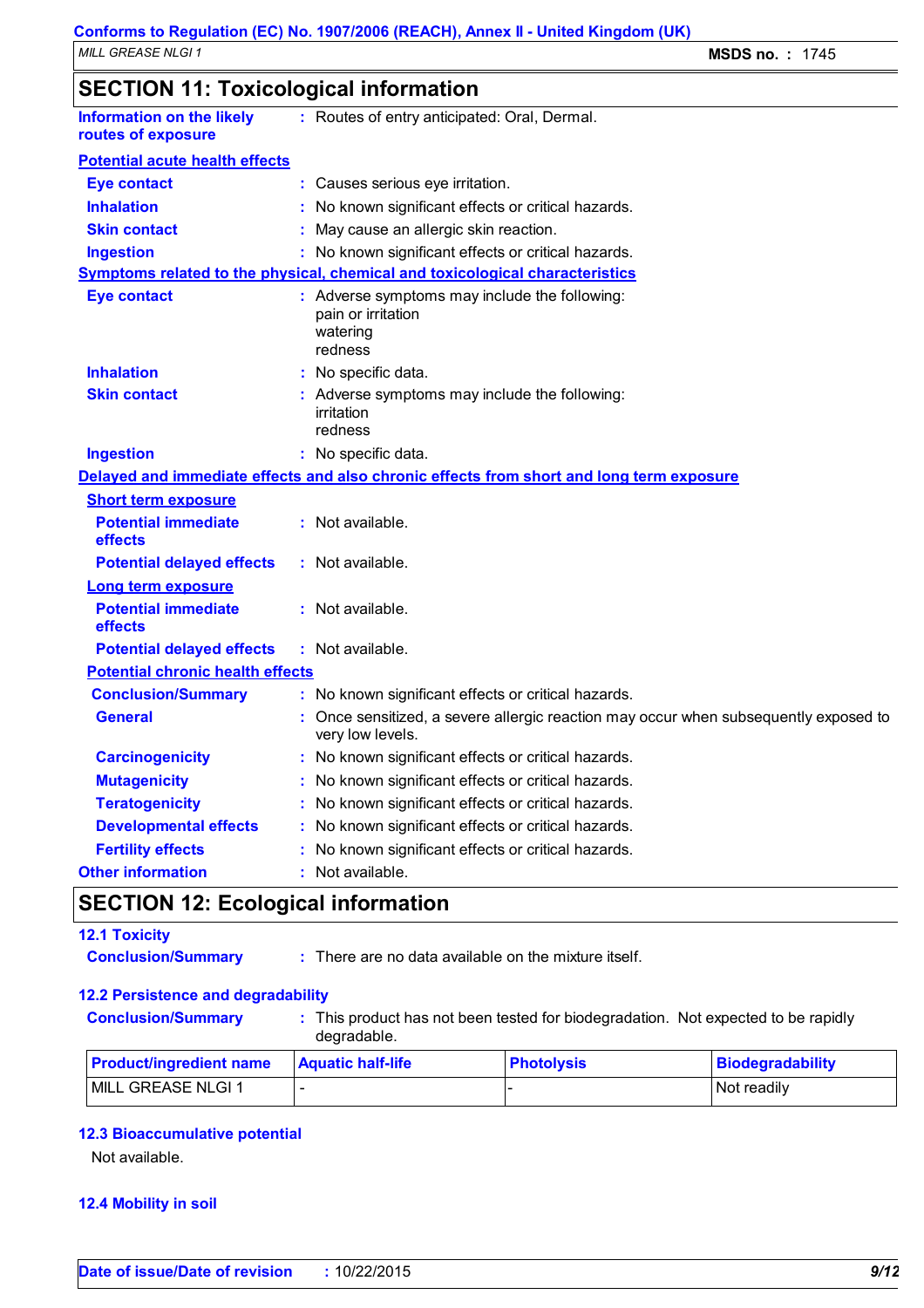| <b>Information on the likely</b><br>routes of exposure | : Routes of entry anticipated: Oral, Dermal.                                                           |
|--------------------------------------------------------|--------------------------------------------------------------------------------------------------------|
| <b>Potential acute health effects</b>                  |                                                                                                        |
| <b>Eye contact</b>                                     | : Causes serious eye irritation.                                                                       |
| <b>Inhalation</b>                                      | : No known significant effects or critical hazards.                                                    |
| <b>Skin contact</b>                                    | May cause an allergic skin reaction.                                                                   |
| <b>Ingestion</b>                                       | : No known significant effects or critical hazards.                                                    |
|                                                        | Symptoms related to the physical, chemical and toxicological characteristics                           |
| <b>Eye contact</b>                                     | : Adverse symptoms may include the following:<br>pain or irritation<br>watering<br>redness             |
| <b>Inhalation</b>                                      | : No specific data.                                                                                    |
| <b>Skin contact</b>                                    | : Adverse symptoms may include the following:<br>irritation<br>redness                                 |
| <b>Ingestion</b>                                       | : No specific data.                                                                                    |
|                                                        | Delayed and immediate effects and also chronic effects from short and long term exposure               |
| <b>Short term exposure</b>                             |                                                                                                        |
| <b>Potential immediate</b><br>effects                  | : Not available.                                                                                       |
| <b>Potential delayed effects</b>                       | : Not available.                                                                                       |
| <b>Long term exposure</b>                              |                                                                                                        |
| <b>Potential immediate</b><br>effects                  | : Not available.                                                                                       |
| <b>Potential delayed effects</b>                       | : Not available.                                                                                       |
| <b>Potential chronic health effects</b>                |                                                                                                        |
| <b>Conclusion/Summary</b>                              | : No known significant effects or critical hazards.                                                    |
| <b>General</b>                                         | Once sensitized, a severe allergic reaction may occur when subsequently exposed to<br>very low levels. |
| <b>Carcinogenicity</b>                                 | : No known significant effects or critical hazards.                                                    |
| <b>Mutagenicity</b>                                    | No known significant effects or critical hazards.                                                      |
| <b>Teratogenicity</b>                                  | No known significant effects or critical hazards.                                                      |
| <b>Developmental effects</b>                           | No known significant effects or critical hazards.                                                      |
| <b>Fertility effects</b>                               | No known significant effects or critical hazards.                                                      |
| <b>Other information</b>                               | : Not available.                                                                                       |

## **SECTION 12: Ecological information**

### **12.1 Toxicity**

- 
- **Conclusion/Summary :** There are no data available on the mixture itself.

### **12.2 Persistence and degradability**

- 
- **Conclusion/Summary :** This product has not been tested for biodegradation. Not expected to be rapidly

degradable.

| <b>Product/ingredient name</b> | <b>Aquatic half-life</b> | <b>Photolysis</b> | Biodegradability |
|--------------------------------|--------------------------|-------------------|------------------|
| <b>MILL GREASE NLGI 1</b>      |                          |                   | I Not readily    |

### **12.3 Bioaccumulative potential**

Not available.

### **12.4 Mobility in soil**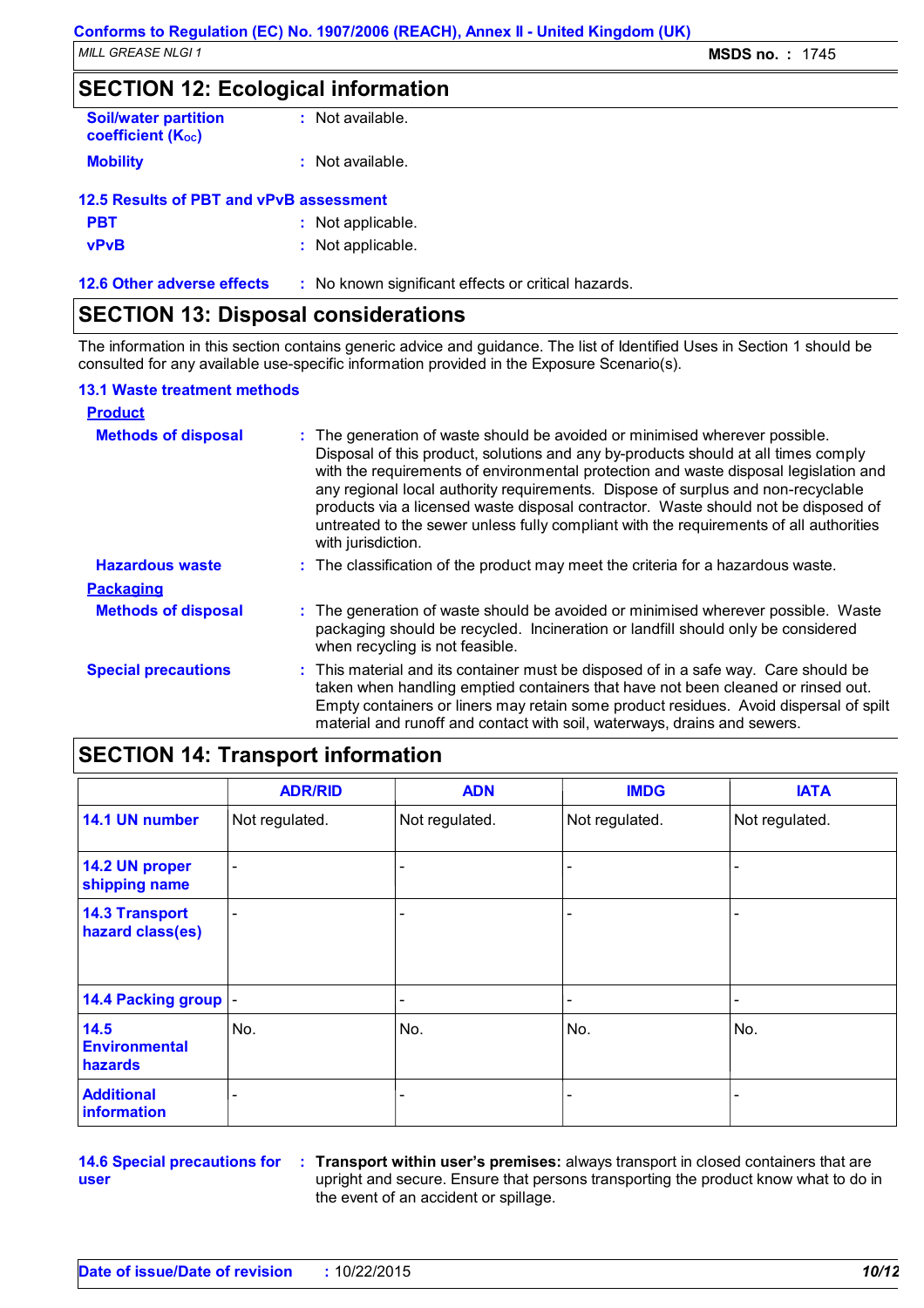## **SECTION 12: Ecological information**

| <b>Soil/water partition</b><br><b>coefficient (Koc)</b> | $:$ Not available. |
|---------------------------------------------------------|--------------------|
| <b>Mobility</b>                                         | : Not available.   |
| 12.5 Results of PBT and vPvB assessment                 |                    |
| PBT                                                     | : Not applicable.  |

|             | . <b>.</b>        |
|-------------|-------------------|
| <b>vPvB</b> | : Not applicable. |

**12.6 Other adverse effects** : No known significant effects or critical hazards.

## **SECTION 13: Disposal considerations**

The information in this section contains generic advice and guidance. The list of Identified Uses in Section 1 should be consulted for any available use-specific information provided in the Exposure Scenario(s).

### **13.1 Waste treatment methods**

| <b>Product</b>             |                                                                                                                                                                                                                                                                                                                                                                                                                                                                                                                                                     |
|----------------------------|-----------------------------------------------------------------------------------------------------------------------------------------------------------------------------------------------------------------------------------------------------------------------------------------------------------------------------------------------------------------------------------------------------------------------------------------------------------------------------------------------------------------------------------------------------|
| <b>Methods of disposal</b> | : The generation of waste should be avoided or minimised wherever possible.<br>Disposal of this product, solutions and any by-products should at all times comply<br>with the requirements of environmental protection and waste disposal legislation and<br>any regional local authority requirements. Dispose of surplus and non-recyclable<br>products via a licensed waste disposal contractor. Waste should not be disposed of<br>untreated to the sewer unless fully compliant with the requirements of all authorities<br>with jurisdiction. |
| <b>Hazardous waste</b>     | : The classification of the product may meet the criteria for a hazardous waste.                                                                                                                                                                                                                                                                                                                                                                                                                                                                    |
| <b>Packaging</b>           |                                                                                                                                                                                                                                                                                                                                                                                                                                                                                                                                                     |
| <b>Methods of disposal</b> | : The generation of waste should be avoided or minimised wherever possible. Waste<br>packaging should be recycled. Incineration or landfill should only be considered<br>when recycling is not feasible.                                                                                                                                                                                                                                                                                                                                            |
| <b>Special precautions</b> | : This material and its container must be disposed of in a safe way. Care should be<br>taken when handling emptied containers that have not been cleaned or rinsed out.<br>Empty containers or liners may retain some product residues. Avoid dispersal of spilt<br>material and runoff and contact with soil, waterways, drains and sewers.                                                                                                                                                                                                        |

## **SECTION 14: Transport information**

|                                           | <b>ADR/RID</b>           | <b>ADN</b>     | <b>IMDG</b>    | <b>IATA</b>    |
|-------------------------------------------|--------------------------|----------------|----------------|----------------|
| 14.1 UN number                            | Not regulated.           | Not regulated. | Not regulated. | Not regulated. |
| 14.2 UN proper<br>shipping name           | $\overline{\phantom{a}}$ |                |                |                |
| <b>14.3 Transport</b><br>hazard class(es) | $\overline{\phantom{0}}$ |                |                |                |
| 14.4 Packing group  -                     |                          |                |                |                |
| 14.5<br><b>Environmental</b><br>hazards   | No.                      | No.            | No.            | No.            |
| <b>Additional</b><br>information          |                          | ٠              |                |                |

**14.6 Special precautions for user**

**Transport within user's premises:** always transport in closed containers that are **:** upright and secure. Ensure that persons transporting the product know what to do in the event of an accident or spillage.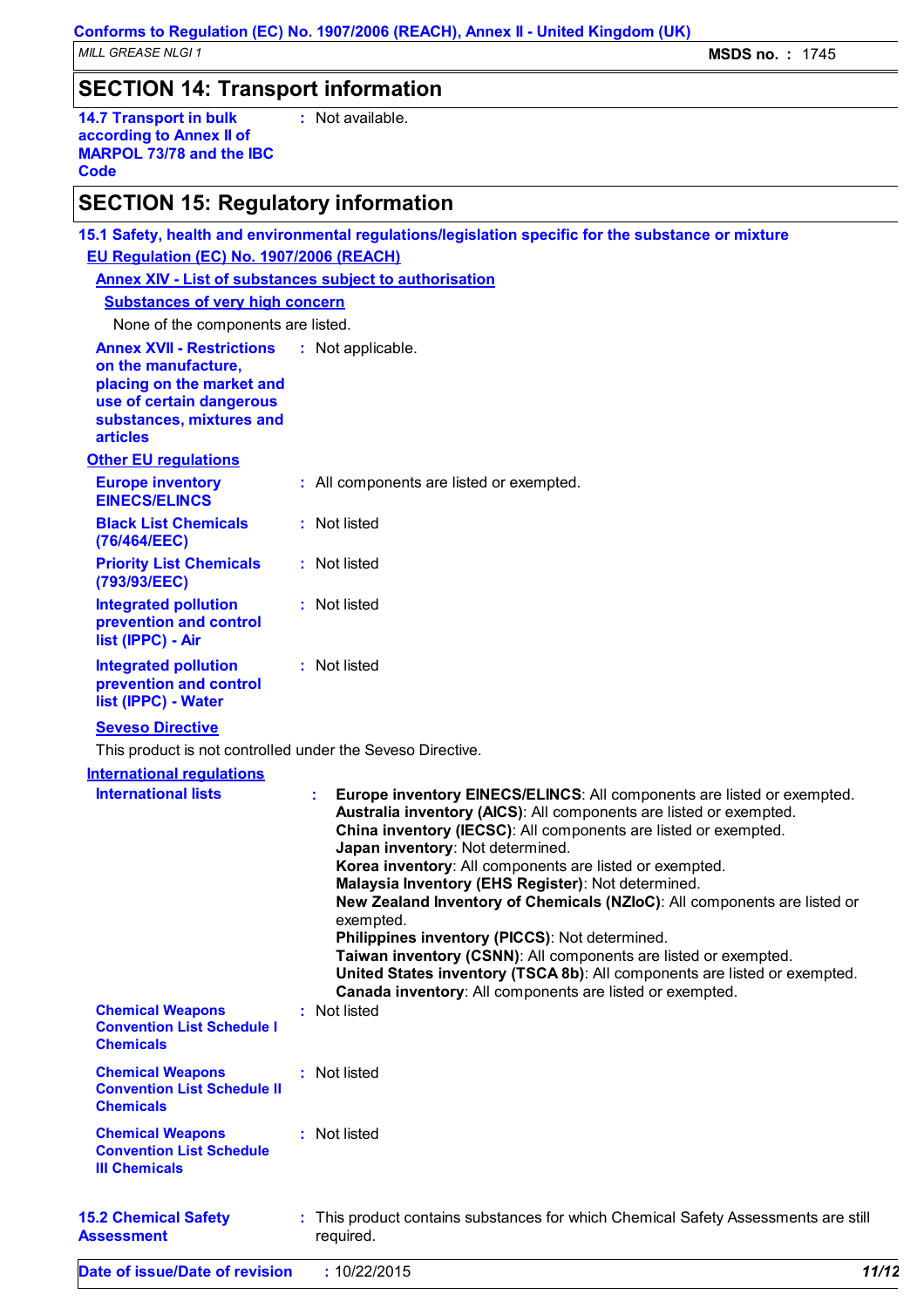## **SECTION 14: Transport information**

**14.7 Transport in bulk according to Annex II of MARPOL 73/78 and the IBC Code :** Not available.

## **SECTION 15: Regulatory information**

|                                                                                                                                                                 |  | 15.1 Safety, health and environmental regulations/legislation specific for the substance or mixture                                                                                                                                                                                                                                                                                                                                                                                                                                                                                                                                                                                                                               |  |  |
|-----------------------------------------------------------------------------------------------------------------------------------------------------------------|--|-----------------------------------------------------------------------------------------------------------------------------------------------------------------------------------------------------------------------------------------------------------------------------------------------------------------------------------------------------------------------------------------------------------------------------------------------------------------------------------------------------------------------------------------------------------------------------------------------------------------------------------------------------------------------------------------------------------------------------------|--|--|
| EU Regulation (EC) No. 1907/2006 (REACH)                                                                                                                        |  |                                                                                                                                                                                                                                                                                                                                                                                                                                                                                                                                                                                                                                                                                                                                   |  |  |
| <b>Annex XIV - List of substances subject to authorisation</b>                                                                                                  |  |                                                                                                                                                                                                                                                                                                                                                                                                                                                                                                                                                                                                                                                                                                                                   |  |  |
| <b>Substances of very high concern</b>                                                                                                                          |  |                                                                                                                                                                                                                                                                                                                                                                                                                                                                                                                                                                                                                                                                                                                                   |  |  |
| None of the components are listed.                                                                                                                              |  |                                                                                                                                                                                                                                                                                                                                                                                                                                                                                                                                                                                                                                                                                                                                   |  |  |
| <b>Annex XVII - Restrictions</b><br>on the manufacture,<br>placing on the market and<br>use of certain dangerous<br>substances, mixtures and<br><b>articles</b> |  | : Not applicable.                                                                                                                                                                                                                                                                                                                                                                                                                                                                                                                                                                                                                                                                                                                 |  |  |
| <b>Other EU regulations</b>                                                                                                                                     |  |                                                                                                                                                                                                                                                                                                                                                                                                                                                                                                                                                                                                                                                                                                                                   |  |  |
| <b>Europe inventory</b><br><b>EINECS/ELINCS</b>                                                                                                                 |  | : All components are listed or exempted.                                                                                                                                                                                                                                                                                                                                                                                                                                                                                                                                                                                                                                                                                          |  |  |
| <b>Black List Chemicals</b><br>(76/464/EEC)                                                                                                                     |  | : Not listed                                                                                                                                                                                                                                                                                                                                                                                                                                                                                                                                                                                                                                                                                                                      |  |  |
| <b>Priority List Chemicals</b><br>(793/93/EEC)                                                                                                                  |  | : Not listed                                                                                                                                                                                                                                                                                                                                                                                                                                                                                                                                                                                                                                                                                                                      |  |  |
| <b>Integrated pollution</b><br>prevention and control<br>list (IPPC) - Air                                                                                      |  | : Not listed                                                                                                                                                                                                                                                                                                                                                                                                                                                                                                                                                                                                                                                                                                                      |  |  |
| <b>Integrated pollution</b><br>prevention and control<br>list (IPPC) - Water                                                                                    |  | : Not listed                                                                                                                                                                                                                                                                                                                                                                                                                                                                                                                                                                                                                                                                                                                      |  |  |
| <b>Seveso Directive</b>                                                                                                                                         |  |                                                                                                                                                                                                                                                                                                                                                                                                                                                                                                                                                                                                                                                                                                                                   |  |  |
| This product is not controlled under the Seveso Directive.                                                                                                      |  |                                                                                                                                                                                                                                                                                                                                                                                                                                                                                                                                                                                                                                                                                                                                   |  |  |
| <b>International requlations</b>                                                                                                                                |  |                                                                                                                                                                                                                                                                                                                                                                                                                                                                                                                                                                                                                                                                                                                                   |  |  |
| <b>International lists</b>                                                                                                                                      |  | Europe inventory EINECS/ELINCS: All components are listed or exempted.<br>t.<br>Australia inventory (AICS): All components are listed or exempted.<br>China inventory (IECSC): All components are listed or exempted.<br>Japan inventory: Not determined.<br>Korea inventory: All components are listed or exempted.<br>Malaysia Inventory (EHS Register): Not determined.<br>New Zealand Inventory of Chemicals (NZIoC): All components are listed or<br>exempted.<br>Philippines inventory (PICCS): Not determined.<br>Taiwan inventory (CSNN): All components are listed or exempted.<br>United States inventory (TSCA 8b): All components are listed or exempted.<br>Canada inventory: All components are listed or exempted. |  |  |
| <b>Chemical Weapons</b><br><b>Convention List Schedule I</b><br><b>Chemicals</b>                                                                                |  | : Not listed                                                                                                                                                                                                                                                                                                                                                                                                                                                                                                                                                                                                                                                                                                                      |  |  |
| <b>Chemical Weapons</b><br><b>Convention List Schedule II</b><br><b>Chemicals</b>                                                                               |  | : Not listed                                                                                                                                                                                                                                                                                                                                                                                                                                                                                                                                                                                                                                                                                                                      |  |  |
| <b>Chemical Weapons</b><br><b>Convention List Schedule</b><br><b>III Chemicals</b>                                                                              |  | : Not listed                                                                                                                                                                                                                                                                                                                                                                                                                                                                                                                                                                                                                                                                                                                      |  |  |
| <b>15.2 Chemical Safety</b><br><b>Assessment</b>                                                                                                                |  | : This product contains substances for which Chemical Safety Assessments are still<br>required.                                                                                                                                                                                                                                                                                                                                                                                                                                                                                                                                                                                                                                   |  |  |